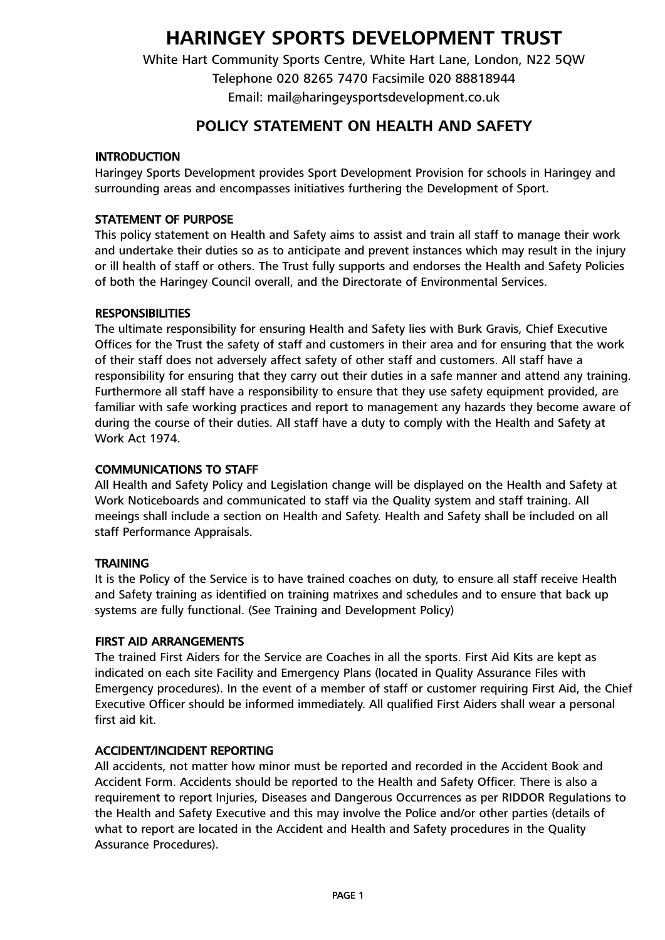# **HARINGEY SPORTS DEVELOPMENT TRUST**

White Hart Community Sports Centre, White Hart Lane, London, N22 5QW Telephone 020 8265 7470 Facsimile 020 88818944 Email: mail@haringeysportsdevelopment.co.uk

# **POLICY STATEMENT ON HEALTH AND SAFETY**

## INTRODUCTION

Haringey Sports Development provides Sport Development Provision for schools in Haringey and surrounding areas and encompasses initiatives furthering the Development of Sport.

#### STATEMENT OF PURPOSE

This policy statement on Health and Safety aims to assist and train all staff to manage their work and undertake their duties so as to anticipate and prevent instances which may result in the injury or ill health of staff or others. The Trust fully supports and endorses the Health and Safety Policies of both the Haringey Council overall, and the Directorate of Environmental Services.

## **RESPONSIBILITIES**

The ultimate responsibility for ensuring Health and Safety lies with Burk Gravis, Chief Executive Offices for the Trust the safety of staff and customers in their area and for ensuring that the work of their staff does not adversely affect safety of other staff and customers. All staff have a responsibility for ensuring that they carry out their duties in a safe manner and attend any training. Furthermore all staff have a responsibility to ensure that they use safety equipment provided, are familiar with safe working practices and report to management any hazards they become aware of during the course of their duties. All staff have a duty to comply with the Health and Safety at Work Act 1974.

#### COMMUNICATIONS TO STAFF

All Health and Safety Policy and Legislation change will be displayed on the Health and Safety at Work Noticeboards and communicated to staff via the Quality system and staff training. All meeings shall include a section on Health and Safety. Health and Safety shall be included on all staff Performance Appraisals.

#### **TRAINING**

It is the Policy of the Service is to have trained coaches on duty, to ensure all staff receive Health and Safety training as identified on training matrixes and schedules and to ensure that back up systems are fully functional. (See Training and Development Policy)

#### FIRST AID ARRANGEMENTS

The trained First Aiders for the Service are Coaches in all the sports. First Aid Kits are kept as indicated on each site Facility and Emergency Plans (located in Quality Assurance Files with Emergency procedures). In the event of a member of staff or customer requiring First Aid, the Chief Executive Officer should be informed immediately. All qualified First Aiders shall wear a personal first aid kit.

#### ACCIDENT/INCIDENT REPORTING

All accidents, not matter how minor must be reported and recorded in the Accident Book and Accident Form. Accidents should be reported to the Health and Safety Officer. There is also a requirement to report Injuries, Diseases and Dangerous Occurrences as per RIDDOR Regulations to the Health and Safety Executive and this may involve the Police and/or other parties (details of what to report are located in the Accident and Health and Safety procedures in the Quality Assurance Procedures).